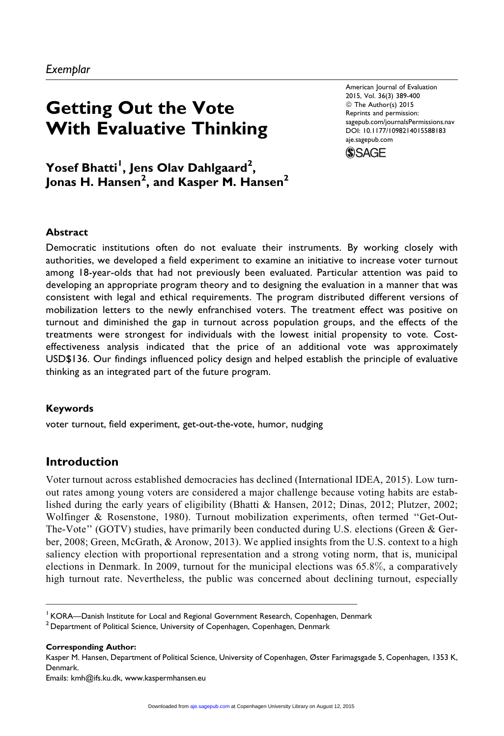# Getting Out the Vote With Evaluative Thinking

Yosef Bhatti $^{\mathsf{l}}$ , Jens Olav Dahlgaard $^{\mathsf{2}},$ Jonas H. Hansen<sup>2</sup>, and Kasper M. Hansen<sup>2</sup> American Journal of Evaluation 2015, Vol. 36(3) 389-400 © The Author(s) 2015 Reprints and permission: [sagepub.com/journalsPermissions.nav](http://www.sagepub.com/journalsPermissions.nav) DOI: 10.1177/1098214015588183 [aje.sagepub.com](http://aje.sagepub.com)



## Abstract

Democratic institutions often do not evaluate their instruments. By working closely with authorities, we developed a field experiment to examine an initiative to increase voter turnout among 18-year-olds that had not previously been evaluated. Particular attention was paid to developing an appropriate program theory and to designing the evaluation in a manner that was consistent with legal and ethical requirements. The program distributed different versions of mobilization letters to the newly enfranchised voters. The treatment effect was positive on turnout and diminished the gap in turnout across population groups, and the effects of the treatments were strongest for individuals with the lowest initial propensity to vote. Costeffectiveness analysis indicated that the price of an additional vote was approximately USD\$136. Our findings influenced policy design and helped establish the principle of evaluative thinking as an integrated part of the future program.

### Keywords

voter turnout, field experiment, get-out-the-vote, humor, nudging

# Introduction

Voter turnout across established democracies has declined (International IDEA, 2015). Low turnout rates among young voters are considered a major challenge because voting habits are established during the early years of eligibility (Bhatti & Hansen, 2012; Dinas, 2012; Plutzer, 2002; Wolfinger & Rosenstone, 1980). Turnout mobilization experiments, often termed ''Get-Out-The-Vote'' (GOTV) studies, have primarily been conducted during U.S. elections (Green & Gerber, 2008; Green, McGrath, & Aronow, 2013). We applied insights from the U.S. context to a high saliency election with proportional representation and a strong voting norm, that is, municipal elections in Denmark. In 2009, turnout for the municipal elections was 65.8%, a comparatively high turnout rate. Nevertheless, the public was concerned about declining turnout, especially

Corresponding Author:

Emails: kmh@ifs.ku.dk, [www.kaspermhansen.eu](http://www.kaspermhansen.eu)

<sup>&</sup>lt;sup>1</sup> KORA—Danish Institute for Local and Regional Government Research, Copenhagen, Denmark

<sup>&</sup>lt;sup>2</sup> Department of Political Science, University of Copenhagen, Copenhagen, Denmark

Kasper M. Hansen, Department of Political Science, University of Copenhagen, Øster Farimagsgade 5, Copenhagen, 1353 K, Denmark.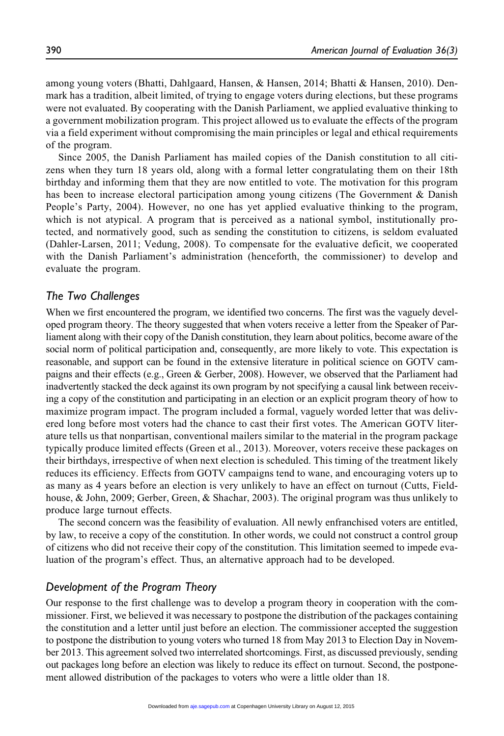among young voters (Bhatti, Dahlgaard, Hansen, & Hansen, 2014; Bhatti & Hansen, 2010). Denmark has a tradition, albeit limited, of trying to engage voters during elections, but these programs were not evaluated. By cooperating with the Danish Parliament, we applied evaluative thinking to a government mobilization program. This project allowed us to evaluate the effects of the program via a field experiment without compromising the main principles or legal and ethical requirements of the program.

Since 2005, the Danish Parliament has mailed copies of the Danish constitution to all citizens when they turn 18 years old, along with a formal letter congratulating them on their 18th birthday and informing them that they are now entitled to vote. The motivation for this program has been to increase electoral participation among young citizens (The Government & Danish People's Party, 2004). However, no one has yet applied evaluative thinking to the program, which is not atypical. A program that is perceived as a national symbol, institutionally protected, and normatively good, such as sending the constitution to citizens, is seldom evaluated (Dahler-Larsen, 2011; Vedung, 2008). To compensate for the evaluative deficit, we cooperated with the Danish Parliament's administration (henceforth, the commissioner) to develop and evaluate the program.

## The Two Challenges

When we first encountered the program, we identified two concerns. The first was the vaguely developed program theory. The theory suggested that when voters receive a letter from the Speaker of Parliament along with their copy of the Danish constitution, they learn about politics, become aware of the social norm of political participation and, consequently, are more likely to vote. This expectation is reasonable, and support can be found in the extensive literature in political science on GOTV campaigns and their effects (e.g., Green & Gerber, 2008). However, we observed that the Parliament had inadvertently stacked the deck against its own program by not specifying a causal link between receiving a copy of the constitution and participating in an election or an explicit program theory of how to maximize program impact. The program included a formal, vaguely worded letter that was delivered long before most voters had the chance to cast their first votes. The American GOTV literature tells us that nonpartisan, conventional mailers similar to the material in the program package typically produce limited effects (Green et al., 2013). Moreover, voters receive these packages on their birthdays, irrespective of when next election is scheduled. This timing of the treatment likely reduces its efficiency. Effects from GOTV campaigns tend to wane, and encouraging voters up to as many as 4 years before an election is very unlikely to have an effect on turnout (Cutts, Fieldhouse, & John, 2009; Gerber, Green, & Shachar, 2003). The original program was thus unlikely to produce large turnout effects.

The second concern was the feasibility of evaluation. All newly enfranchised voters are entitled, by law, to receive a copy of the constitution. In other words, we could not construct a control group of citizens who did not receive their copy of the constitution. This limitation seemed to impede evaluation of the program's effect. Thus, an alternative approach had to be developed.

## Development of the Program Theory

Our response to the first challenge was to develop a program theory in cooperation with the commissioner. First, we believed it was necessary to postpone the distribution of the packages containing the constitution and a letter until just before an election. The commissioner accepted the suggestion to postpone the distribution to young voters who turned 18 from May 2013 to Election Day in November 2013. This agreement solved two interrelated shortcomings. First, as discussed previously, sending out packages long before an election was likely to reduce its effect on turnout. Second, the postponement allowed distribution of the packages to voters who were a little older than 18.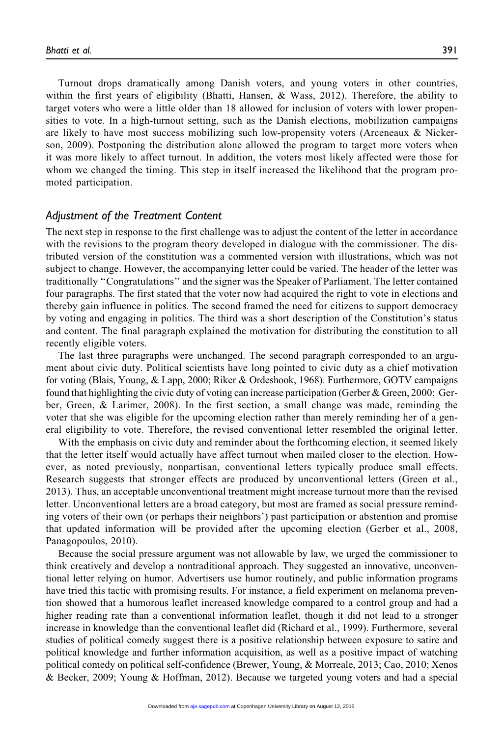Turnout drops dramatically among Danish voters, and young voters in other countries, within the first years of eligibility (Bhatti, Hansen, & Wass, 2012). Therefore, the ability to target voters who were a little older than 18 allowed for inclusion of voters with lower propensities to vote. In a high-turnout setting, such as the Danish elections, mobilization campaigns are likely to have most success mobilizing such low-propensity voters (Arceneaux & Nickerson, 2009). Postponing the distribution alone allowed the program to target more voters when it was more likely to affect turnout. In addition, the voters most likely affected were those for whom we changed the timing. This step in itself increased the likelihood that the program promoted participation.

## Adjustment of the Treatment Content

The next step in response to the first challenge was to adjust the content of the letter in accordance with the revisions to the program theory developed in dialogue with the commissioner. The distributed version of the constitution was a commented version with illustrations, which was not subject to change. However, the accompanying letter could be varied. The header of the letter was traditionally ''Congratulations'' and the signer was the Speaker of Parliament. The letter contained four paragraphs. The first stated that the voter now had acquired the right to vote in elections and thereby gain influence in politics. The second framed the need for citizens to support democracy by voting and engaging in politics. The third was a short description of the Constitution's status and content. The final paragraph explained the motivation for distributing the constitution to all recently eligible voters.

The last three paragraphs were unchanged. The second paragraph corresponded to an argument about civic duty. Political scientists have long pointed to civic duty as a chief motivation for voting (Blais, Young, & Lapp, 2000; Riker & Ordeshook, 1968). Furthermore, GOTV campaigns found that highlighting the civic duty of voting can increase participation (Gerber & Green, 2000; Gerber, Green, & Larimer, 2008). In the first section, a small change was made, reminding the voter that she was eligible for the upcoming election rather than merely reminding her of a general eligibility to vote. Therefore, the revised conventional letter resembled the original letter.

With the emphasis on civic duty and reminder about the forthcoming election, it seemed likely that the letter itself would actually have affect turnout when mailed closer to the election. However, as noted previously, nonpartisan, conventional letters typically produce small effects. Research suggests that stronger effects are produced by unconventional letters (Green et al., 2013). Thus, an acceptable unconventional treatment might increase turnout more than the revised letter. Unconventional letters are a broad category, but most are framed as social pressure reminding voters of their own (or perhaps their neighbors') past participation or abstention and promise that updated information will be provided after the upcoming election (Gerber et al., 2008, Panagopoulos, 2010).

Because the social pressure argument was not allowable by law, we urged the commissioner to think creatively and develop a nontraditional approach. They suggested an innovative, unconventional letter relying on humor. Advertisers use humor routinely, and public information programs have tried this tactic with promising results. For instance, a field experiment on melanoma prevention showed that a humorous leaflet increased knowledge compared to a control group and had a higher reading rate than a conventional information leaflet, though it did not lead to a stronger increase in knowledge than the conventional leaflet did (Richard et al., 1999). Furthermore, several studies of political comedy suggest there is a positive relationship between exposure to satire and political knowledge and further information acquisition, as well as a positive impact of watching political comedy on political self-confidence (Brewer, Young, & Morreale, 2013; Cao, 2010; Xenos & Becker, 2009; Young & Hoffman, 2012). Because we targeted young voters and had a special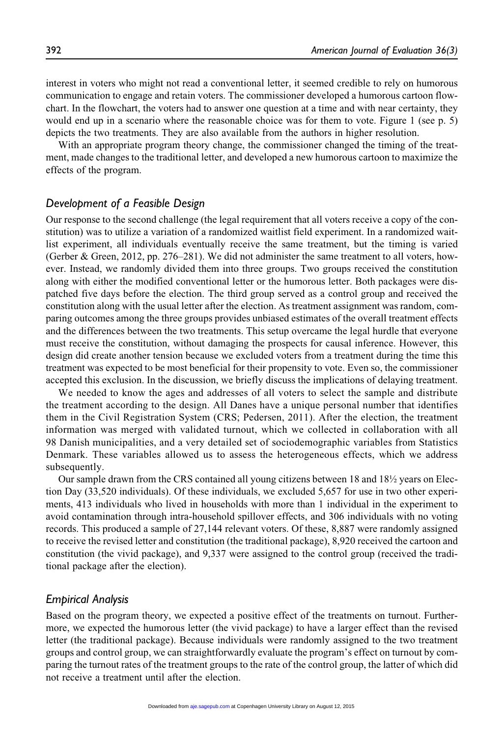interest in voters who might not read a conventional letter, it seemed credible to rely on humorous communication to engage and retain voters. The commissioner developed a humorous cartoon flowchart. In the flowchart, the voters had to answer one question at a time and with near certainty, they would end up in a scenario where the reasonable choice was for them to vote. Figure 1 (see p. 5) depicts the two treatments. They are also available from the authors in higher resolution.

With an appropriate program theory change, the commissioner changed the timing of the treatment, made changes to the traditional letter, and developed a new humorous cartoon to maximize the effects of the program.

## Development of a Feasible Design

Our response to the second challenge (the legal requirement that all voters receive a copy of the constitution) was to utilize a variation of a randomized waitlist field experiment. In a randomized waitlist experiment, all individuals eventually receive the same treatment, but the timing is varied (Gerber & Green, 2012, pp. 276–281). We did not administer the same treatment to all voters, however. Instead, we randomly divided them into three groups. Two groups received the constitution along with either the modified conventional letter or the humorous letter. Both packages were dispatched five days before the election. The third group served as a control group and received the constitution along with the usual letter after the election. As treatment assignment was random, comparing outcomes among the three groups provides unbiased estimates of the overall treatment effects and the differences between the two treatments. This setup overcame the legal hurdle that everyone must receive the constitution, without damaging the prospects for causal inference. However, this design did create another tension because we excluded voters from a treatment during the time this treatment was expected to be most beneficial for their propensity to vote. Even so, the commissioner accepted this exclusion. In the discussion, we briefly discuss the implications of delaying treatment.

We needed to know the ages and addresses of all voters to select the sample and distribute the treatment according to the design. All Danes have a unique personal number that identifies them in the Civil Registration System (CRS; Pedersen, 2011). After the election, the treatment information was merged with validated turnout, which we collected in collaboration with all 98 Danish municipalities, and a very detailed set of sociodemographic variables from Statistics Denmark. These variables allowed us to assess the heterogeneous effects, which we address subsequently.

Our sample drawn from the CRS contained all young citizens between 18 and 18½ years on Election Day (33,520 individuals). Of these individuals, we excluded 5,657 for use in two other experiments, 413 individuals who lived in households with more than 1 individual in the experiment to avoid contamination through intra-household spillover effects, and 306 individuals with no voting records. This produced a sample of 27,144 relevant voters. Of these, 8,887 were randomly assigned to receive the revised letter and constitution (the traditional package), 8,920 received the cartoon and constitution (the vivid package), and 9,337 were assigned to the control group (received the traditional package after the election).

### Empirical Analysis

Based on the program theory, we expected a positive effect of the treatments on turnout. Furthermore, we expected the humorous letter (the vivid package) to have a larger effect than the revised letter (the traditional package). Because individuals were randomly assigned to the two treatment groups and control group, we can straightforwardly evaluate the program's effect on turnout by comparing the turnout rates of the treatment groups to the rate of the control group, the latter of which did not receive a treatment until after the election.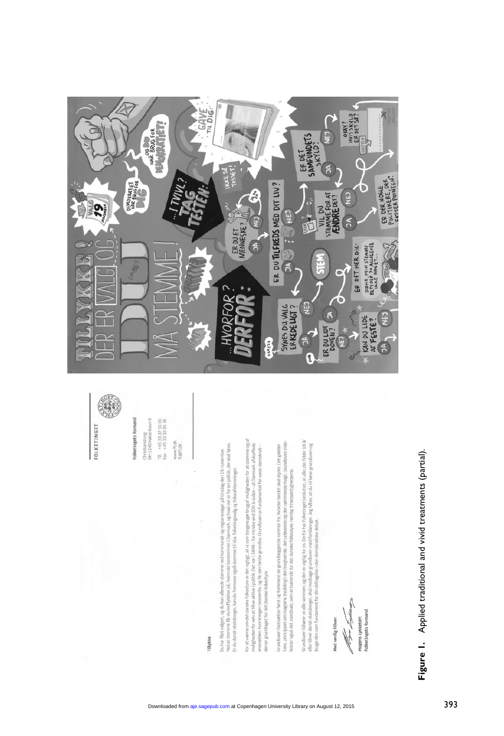

**SETIA** FOLKETINGET

Folketingets formand

Christiansborg<br>DK-1240 København K

TIF: +45 33 37 55 00<br>Fax +45 33 32 85 36 www.ft.dk<br>ft@ft.dk

# Tillykke

Du har fået valgret, og du kan allerede stemme ved kommunal- og regionsvalget på tirsdag den 19. november.<br>Ved at stemme får du indflydelse på, hvem der bestemmer i Danmark, og hvad det er for en politik, der skal før Er du dansk statsborger, kan du fremover også stemme til bl.a. folketingsvalg og folkeafstemninger. For at værne om det danske folkestyre er det vigtigt, at vi som borgere gør brug af muligheden for at stemme og a muligheden for selv at blive aktive i politik. Det var i 1849 - for mindre end 200 år siden - at Danmark afskaffede enevælden, hvor kongen bestemte, og fik den første grundlov. Grundloven er fundamentet for vores demokrati den er grundlaget for det danske folkestyre. Grundloven fastsætter først og fremmest de grundlæggende rammer for, hvordan landet skal styres. Det gælder<br>F.eks. princippet om magtens tredeling i den lovgivende, den udøverde og den dørrmende magt. Grundloven inde holder også det værdisæt, som er bærende for det danske folkestyre, nemlig frihedsrettigheder Grundloven tilhører os alle sammen, og den er vigtig for os. Derfor har Folketinget besluttet, at alle, der fylder 18 år eller bliver dansk statsborger, skal modtage grundloven med forklaringer. Jeg håber, at du vil læse grundloven og bruge den som fundament for din deltagelse i den demokratiske debat.

Med venlig hilsen

**Control** 

Folketingets formand Mogens Lykketoft

Figure 1. Applied traditional and vivid treatments (partial). Figure 1. Applied traditional and vivid treatments (partial).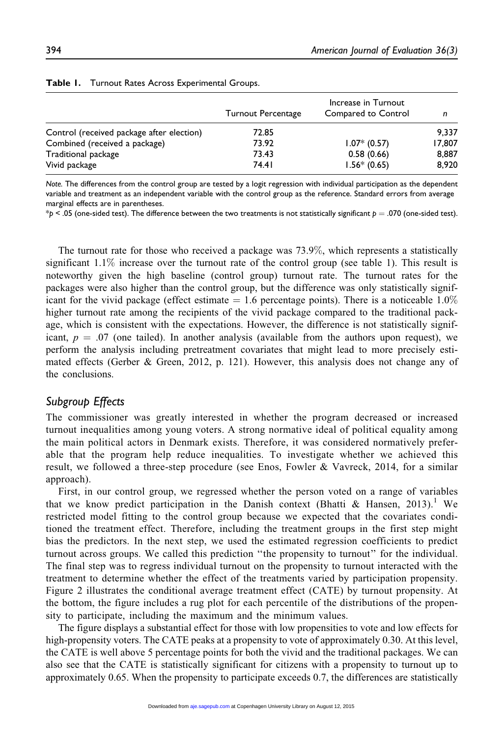|                                           | Turnout Percentage | Increase in Turnout<br>Compared to Control | n      |
|-------------------------------------------|--------------------|--------------------------------------------|--------|
| Control (received package after election) | 72.85              |                                            | 9.337  |
| Combined (received a package)             | 73.92              | $1.07*$ (0.57)                             | 17,807 |
| Traditional package                       | 73.43              | 0.58(0.66)                                 | 8,887  |
| Vivid package                             | 74.41              | $1.56*(0.65)$                              | 8,920  |

#### Table 1. Turnout Rates Across Experimental Groups.

Note. The differences from the control group are tested by a logit regression with individual participation as the dependent variable and treatment as an independent variable with the control group as the reference. Standard errors from average marginal effects are in parentheses.

 $*_b$  < .05 (one-sided test). The difference between the two treatments is not statistically significant  $p = .070$  (one-sided test).

The turnout rate for those who received a package was 73.9%, which represents a statistically significant 1.1% increase over the turnout rate of the control group (see table 1). This result is noteworthy given the high baseline (control group) turnout rate. The turnout rates for the packages were also higher than the control group, but the difference was only statistically significant for the vivid package (effect estimate  $= 1.6$  percentage points). There is a noticeable 1.0% higher turnout rate among the recipients of the vivid package compared to the traditional package, which is consistent with the expectations. However, the difference is not statistically significant,  $p = .07$  (one tailed). In another analysis (available from the authors upon request), we perform the analysis including pretreatment covariates that might lead to more precisely estimated effects (Gerber & Green, 2012, p. 121). However, this analysis does not change any of the conclusions.

## Subgroup Effects

The commissioner was greatly interested in whether the program decreased or increased turnout inequalities among young voters. A strong normative ideal of political equality among the main political actors in Denmark exists. Therefore, it was considered normatively preferable that the program help reduce inequalities. To investigate whether we achieved this result, we followed a three-step procedure (see Enos, Fowler & Vavreck, 2014, for a similar approach).

First, in our control group, we regressed whether the person voted on a range of variables that we know predict participation in the Danish context (Bhatti & Hansen, 2013).<sup>1</sup> We restricted model fitting to the control group because we expected that the covariates conditioned the treatment effect. Therefore, including the treatment groups in the first step might bias the predictors. In the next step, we used the estimated regression coefficients to predict turnout across groups. We called this prediction ''the propensity to turnout'' for the individual. The final step was to regress individual turnout on the propensity to turnout interacted with the treatment to determine whether the effect of the treatments varied by participation propensity. Figure 2 illustrates the conditional average treatment effect (CATE) by turnout propensity. At the bottom, the figure includes a rug plot for each percentile of the distributions of the propensity to participate, including the maximum and the minimum values.

The figure displays a substantial effect for those with low propensities to vote and low effects for high-propensity voters. The CATE peaks at a propensity to vote of approximately 0.30. At this level, the CATE is well above 5 percentage points for both the vivid and the traditional packages. We can also see that the CATE is statistically significant for citizens with a propensity to turnout up to approximately 0.65. When the propensity to participate exceeds 0.7, the differences are statistically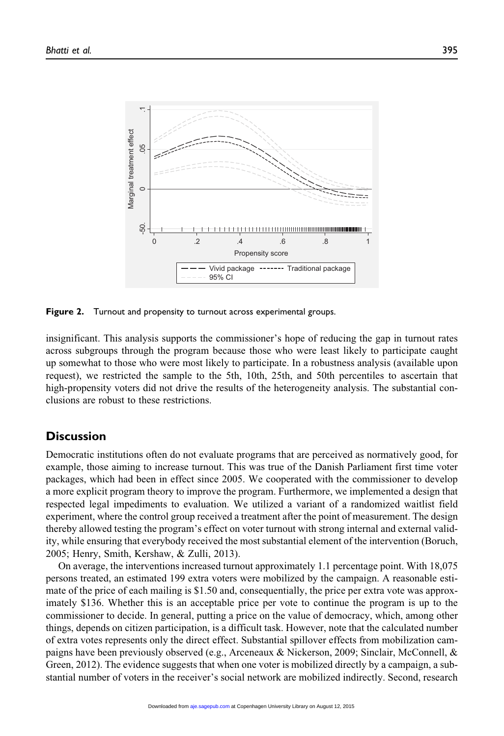

Figure 2. Turnout and propensity to turnout across experimental groups.

insignificant. This analysis supports the commissioner's hope of reducing the gap in turnout rates across subgroups through the program because those who were least likely to participate caught up somewhat to those who were most likely to participate. In a robustness analysis (available upon request), we restricted the sample to the 5th, 10th, 25th, and 50th percentiles to ascertain that high-propensity voters did not drive the results of the heterogeneity analysis. The substantial conclusions are robust to these restrictions.

# **Discussion**

Democratic institutions often do not evaluate programs that are perceived as normatively good, for example, those aiming to increase turnout. This was true of the Danish Parliament first time voter packages, which had been in effect since 2005. We cooperated with the commissioner to develop a more explicit program theory to improve the program. Furthermore, we implemented a design that respected legal impediments to evaluation. We utilized a variant of a randomized waitlist field experiment, where the control group received a treatment after the point of measurement. The design thereby allowed testing the program's effect on voter turnout with strong internal and external validity, while ensuring that everybody received the most substantial element of the intervention (Boruch, 2005; Henry, Smith, Kershaw, & Zulli, 2013).

On average, the interventions increased turnout approximately 1.1 percentage point. With 18,075 persons treated, an estimated 199 extra voters were mobilized by the campaign. A reasonable estimate of the price of each mailing is \$1.50 and, consequentially, the price per extra vote was approximately \$136. Whether this is an acceptable price per vote to continue the program is up to the commissioner to decide. In general, putting a price on the value of democracy, which, among other things, depends on citizen participation, is a difficult task. However, note that the calculated number of extra votes represents only the direct effect. Substantial spillover effects from mobilization campaigns have been previously observed (e.g., Arceneaux & Nickerson, 2009; Sinclair, McConnell, & Green, 2012). The evidence suggests that when one voter is mobilized directly by a campaign, a sub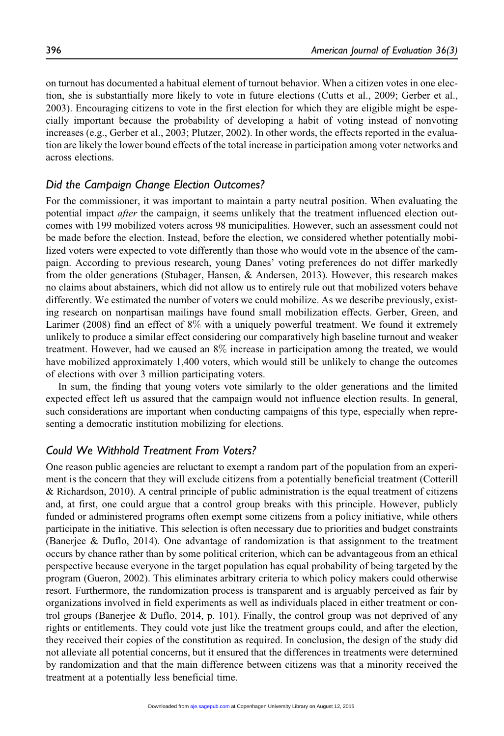on turnout has documented a habitual element of turnout behavior. When a citizen votes in one election, she is substantially more likely to vote in future elections (Cutts et al., 2009; Gerber et al., 2003). Encouraging citizens to vote in the first election for which they are eligible might be especially important because the probability of developing a habit of voting instead of nonvoting increases (e.g., Gerber et al., 2003; Plutzer, 2002). In other words, the effects reported in the evaluation are likely the lower bound effects of the total increase in participation among voter networks and across elections.

## Did the Campaign Change Election Outcomes?

For the commissioner, it was important to maintain a party neutral position. When evaluating the potential impact *after* the campaign, it seems unlikely that the treatment influenced election outcomes with 199 mobilized voters across 98 municipalities. However, such an assessment could not be made before the election. Instead, before the election, we considered whether potentially mobilized voters were expected to vote differently than those who would vote in the absence of the campaign. According to previous research, young Danes' voting preferences do not differ markedly from the older generations (Stubager, Hansen, & Andersen, 2013). However, this research makes no claims about abstainers, which did not allow us to entirely rule out that mobilized voters behave differently. We estimated the number of voters we could mobilize. As we describe previously, existing research on nonpartisan mailings have found small mobilization effects. Gerber, Green, and Larimer (2008) find an effect of 8% with a uniquely powerful treatment. We found it extremely unlikely to produce a similar effect considering our comparatively high baseline turnout and weaker treatment. However, had we caused an 8% increase in participation among the treated, we would have mobilized approximately 1,400 voters, which would still be unlikely to change the outcomes of elections with over 3 million participating voters.

In sum, the finding that young voters vote similarly to the older generations and the limited expected effect left us assured that the campaign would not influence election results. In general, such considerations are important when conducting campaigns of this type, especially when representing a democratic institution mobilizing for elections.

## Could We Withhold Treatment From Voters?

One reason public agencies are reluctant to exempt a random part of the population from an experiment is the concern that they will exclude citizens from a potentially beneficial treatment (Cotterill & Richardson, 2010). A central principle of public administration is the equal treatment of citizens and, at first, one could argue that a control group breaks with this principle. However, publicly funded or administered programs often exempt some citizens from a policy initiative, while others participate in the initiative. This selection is often necessary due to priorities and budget constraints (Banerjee & Duflo, 2014). One advantage of randomization is that assignment to the treatment occurs by chance rather than by some political criterion, which can be advantageous from an ethical perspective because everyone in the target population has equal probability of being targeted by the program (Gueron, 2002). This eliminates arbitrary criteria to which policy makers could otherwise resort. Furthermore, the randomization process is transparent and is arguably perceived as fair by organizations involved in field experiments as well as individuals placed in either treatment or control groups (Banerjee & Duflo, 2014, p. 101). Finally, the control group was not deprived of any rights or entitlements. They could vote just like the treatment groups could, and after the election, they received their copies of the constitution as required. In conclusion, the design of the study did not alleviate all potential concerns, but it ensured that the differences in treatments were determined by randomization and that the main difference between citizens was that a minority received the treatment at a potentially less beneficial time.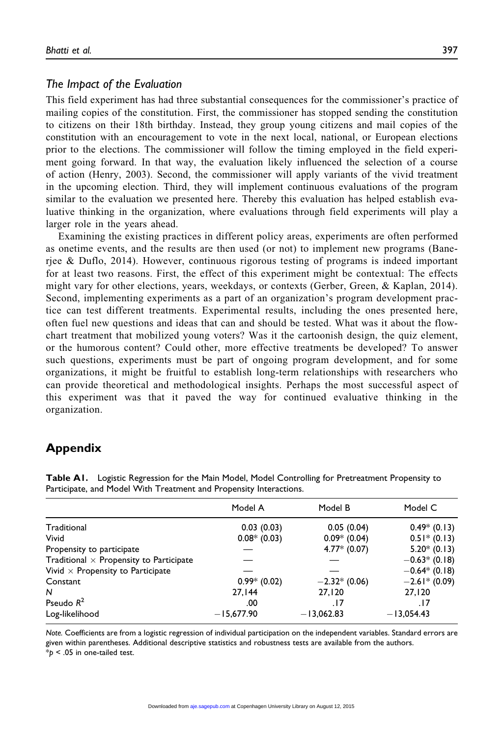## The Impact of the Evaluation

This field experiment has had three substantial consequences for the commissioner's practice of mailing copies of the constitution. First, the commissioner has stopped sending the constitution to citizens on their 18th birthday. Instead, they group young citizens and mail copies of the constitution with an encouragement to vote in the next local, national, or European elections prior to the elections. The commissioner will follow the timing employed in the field experiment going forward. In that way, the evaluation likely influenced the selection of a course of action (Henry, 2003). Second, the commissioner will apply variants of the vivid treatment in the upcoming election. Third, they will implement continuous evaluations of the program similar to the evaluation we presented here. Thereby this evaluation has helped establish evaluative thinking in the organization, where evaluations through field experiments will play a larger role in the years ahead.

Examining the existing practices in different policy areas, experiments are often performed as onetime events, and the results are then used (or not) to implement new programs (Banerjee & Duflo, 2014). However, continuous rigorous testing of programs is indeed important for at least two reasons. First, the effect of this experiment might be contextual: The effects might vary for other elections, years, weekdays, or contexts (Gerber, Green, & Kaplan, 2014). Second, implementing experiments as a part of an organization's program development practice can test different treatments. Experimental results, including the ones presented here, often fuel new questions and ideas that can and should be tested. What was it about the flowchart treatment that mobilized young voters? Was it the cartoonish design, the quiz element, or the humorous content? Could other, more effective treatments be developed? To answer such questions, experiments must be part of ongoing program development, and for some organizations, it might be fruitful to establish long-term relationships with researchers who can provide theoretical and methodological insights. Perhaps the most successful aspect of this experiment was that it paved the way for continued evaluative thinking in the organization.

# Appendix

| Model A        | Model B         | Model C         |
|----------------|-----------------|-----------------|
| 0.03(0.03)     | 0.05(0.04)      | $0.49*$ (0.13)  |
| $0.08*$ (0.03) | $0.09*$ (0.04)  | $0.51* (0.13)$  |
|                | $4.77*$ (0.07)  | $5.20*(0.13)$   |
|                |                 | $-0.63*$ (0.18) |
|                |                 | $-0.64*(0.18)$  |
| $0.99* (0.02)$ | $-2.32*$ (0.06) | $-2.61*$ (0.09) |
| 27,144         | 27,120          | 27,120          |
| .00            | .17             | . 17            |
| $-15,677.90$   | $-13,062.83$    | $-13,054.43$    |
|                |                 |                 |

Table A1. Logistic Regression for the Main Model, Model Controlling for Pretreatment Propensity to Participate, and Model With Treatment and Propensity Interactions.

Note. Coefficients are from a logistic regression of individual participation on the independent variables. Standard errors are given within parentheses. Additional descriptive statistics and robustness tests are available from the authors.  $*_{p}$  < .05 in one-tailed test.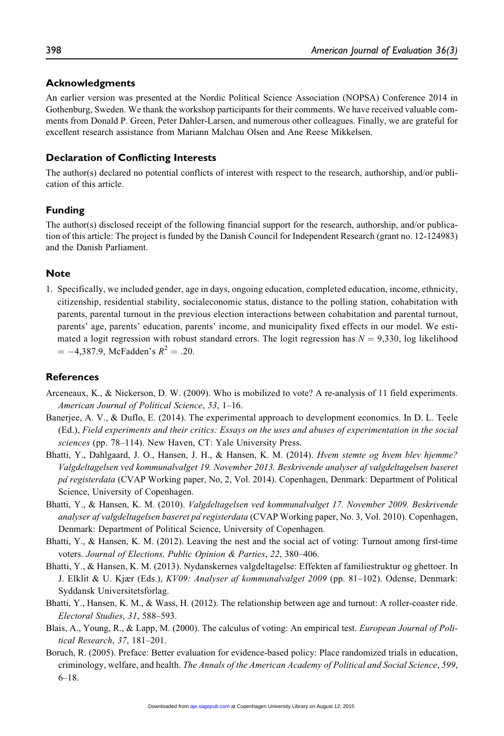## Acknowledgments

An earlier version was presented at the Nordic Political Science Association (NOPSA) Conference 2014 in Gothenburg, Sweden. We thank the workshop participants for their comments. We have received valuable comments from Donald P. Green, Peter Dahler-Larsen, and numerous other colleagues. Finally, we are grateful for excellent research assistance from Mariann Malchau Olsen and Ane Reese Mikkelsen.

## Declaration of Conflicting Interests

The author(s) declared no potential conflicts of interest with respect to the research, authorship, and/or publication of this article.

## Funding

The author(s) disclosed receipt of the following financial support for the research, authorship, and/or publication of this article: The project is funded by the Danish Council for Independent Research (grant no. 12-124983) and the Danish Parliament.

### Note

1. Specifically, we included gender, age in days, ongoing education, completed education, income, ethnicity, citizenship, residential stability, socialeconomic status, distance to the polling station, cohabitation with parents, parental turnout in the previous election interactions between cohabitation and parental turnout, parents' age, parents' education, parents' income, and municipality fixed effects in our model. We estimated a logit regression with robust standard errors. The logit regression has  $N = 9.330$ , log likelihood  $= -4.387.9$ . McFadden's  $R^2 = .20$ .

### References

- Arceneaux, K., & Nickerson, D. W. (2009). Who is mobilized to vote? A re-analysis of 11 field experiments. American Journal of Political Science, 53, 1–16.
- Banerjee, A. V., & Duflo, E. (2014). The experimental approach to development economics. In D. L. Teele (Ed.), Field experiments and their critics: Essays on the uses and abuses of experimentation in the social sciences (pp. 78–114). New Haven, CT: Yale University Press.
- Bhatti, Y., Dahlgaard, J. O., Hansen, J. H., & Hansen, K. M. (2014). Hvem stemte og hvem blev hjemme? Valgdeltagelsen ved kommunalvalget 19. November 2013. Beskrivende analyser af valgdeltagelsen baseret på registerdata (CVAP Working paper, No, 2, Vol. 2014). Copenhagen, Denmark: Department of Political Science, University of Copenhagen.
- Bhatti, Y., & Hansen, K. M. (2010). Valgdeltagelsen ved kommunalvalget 17. November 2009. Beskrivende analyser af valgdeltagelsen baseret på registerdata (CVAP Working paper, No. 3, Vol. 2010). Copenhagen, Denmark: Department of Political Science, University of Copenhagen.
- Bhatti, Y., & Hansen, K. M. (2012). Leaving the nest and the social act of voting: Turnout among first-time voters. Journal of Elections, Public Opinion & Parties, 22, 380–406.
- Bhatti, Y., & Hansen, K. M. (2013). Nydanskernes valgdeltagelse: Effekten af familiestruktur og ghettoer. In J. Elklit & U. Kjær (Eds.), KV09: Analyser af kommunalvalget 2009 (pp. 81–102). Odense, Denmark: Syddansk Universitetsforlag.
- Bhatti, Y., Hansen, K. M., & Wass, H. (2012). The relationship between age and turnout: A roller-coaster ride. Electoral Studies, 31, 588–593.
- Blais, A., Young, R., & Lapp, M. (2000). The calculus of voting: An empirical test. European Journal of Political Research, 37, 181–201.
- Boruch, R. (2005). Preface: Better evaluation for evidence-based policy: Place randomized trials in education, criminology, welfare, and health. The Annals of the American Academy of Political and Social Science, 599, 6–18.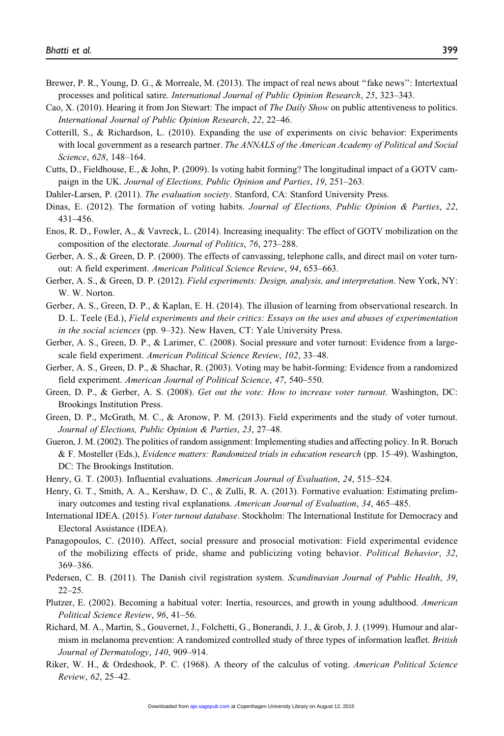- Brewer, P. R., Young, D. G., & Morreale, M. (2013). The impact of real news about ''fake news'': Intertextual processes and political satire. International Journal of Public Opinion Research, 25, 323–343.
- Cao, X. (2010). Hearing it from Jon Stewart: The impact of The Daily Show on public attentiveness to politics. International Journal of Public Opinion Research, 22, 22–46.
- Cotterill, S., & Richardson, L. (2010). Expanding the use of experiments on civic behavior: Experiments with local government as a research partner. The ANNALS of the American Academy of Political and Social Science, 628, 148–164.
- Cutts, D., Fieldhouse, E., & John, P. (2009). Is voting habit forming? The longitudinal impact of a GOTV campaign in the UK. Journal of Elections, Public Opinion and Parties, 19, 251-263.
- Dahler-Larsen, P. (2011). The evaluation society. Stanford, CA: Stanford University Press.
- Dinas, E. (2012). The formation of voting habits. Journal of Elections, Public Opinion & Parties, 22, 431–456.
- Enos, R. D., Fowler, A., & Vavreck, L. (2014). Increasing inequality: The effect of GOTV mobilization on the composition of the electorate. Journal of Politics, 76, 273–288.
- Gerber, A. S., & Green, D. P. (2000). The effects of canvassing, telephone calls, and direct mail on voter turnout: A field experiment. American Political Science Review, 94, 653–663.
- Gerber, A. S., & Green, D. P. (2012). Field experiments: Design, analysis, and interpretation. New York, NY: W. W. Norton.
- Gerber, A. S., Green, D. P., & Kaplan, E. H. (2014). The illusion of learning from observational research. In D. L. Teele (Ed.), Field experiments and their critics: Essays on the uses and abuses of experimentation in the social sciences (pp. 9–32). New Haven, CT: Yale University Press.
- Gerber, A. S., Green, D. P., & Larimer, C. (2008). Social pressure and voter turnout: Evidence from a largescale field experiment. American Political Science Review, 102, 33–48.
- Gerber, A. S., Green, D. P., & Shachar, R. (2003). Voting may be habit-forming: Evidence from a randomized field experiment. American Journal of Political Science, 47, 540–550.
- Green, D. P., & Gerber, A. S. (2008). Get out the vote: How to increase voter turnout. Washington, DC: Brookings Institution Press.
- Green, D. P., McGrath, M. C., & Aronow, P. M. (2013). Field experiments and the study of voter turnout. Journal of Elections, Public Opinion & Parties, 23, 27–48.
- Gueron, J. M. (2002). The politics of random assignment: Implementing studies and affecting policy. In R. Boruch & F. Mosteller (Eds.), Evidence matters: Randomized trials in education research (pp. 15–49). Washington, DC: The Brookings Institution.
- Henry, G. T. (2003). Influential evaluations. American Journal of Evaluation, 24, 515–524.
- Henry, G. T., Smith, A. A., Kershaw, D. C., & Zulli, R. A. (2013). Formative evaluation: Estimating preliminary outcomes and testing rival explanations. American Journal of Evaluation, 34, 465–485.
- International IDEA. (2015). Voter turnout database. Stockholm: The International Institute for Democracy and Electoral Assistance (IDEA).
- Panagopoulos, C. (2010). Affect, social pressure and prosocial motivation: Field experimental evidence of the mobilizing effects of pride, shame and publicizing voting behavior. Political Behavior, 32, 369–386.
- Pedersen, C. B. (2011). The Danish civil registration system. Scandinavian Journal of Public Health, 39, 22–25.
- Plutzer, E. (2002). Becoming a habitual voter: Inertia, resources, and growth in young adulthood. American Political Science Review, 96, 41–56.
- Richard, M. A., Martin, S., Gouvernet, J., Folchetti, G., Bonerandi, J. J., & Grob, J. J. (1999). Humour and alarmism in melanoma prevention: A randomized controlled study of three types of information leaflet. *British* Journal of Dermatology, 140, 909–914.
- Riker, W. H., & Ordeshook, P. C. (1968). A theory of the calculus of voting. American Political Science Review, 62, 25–42.